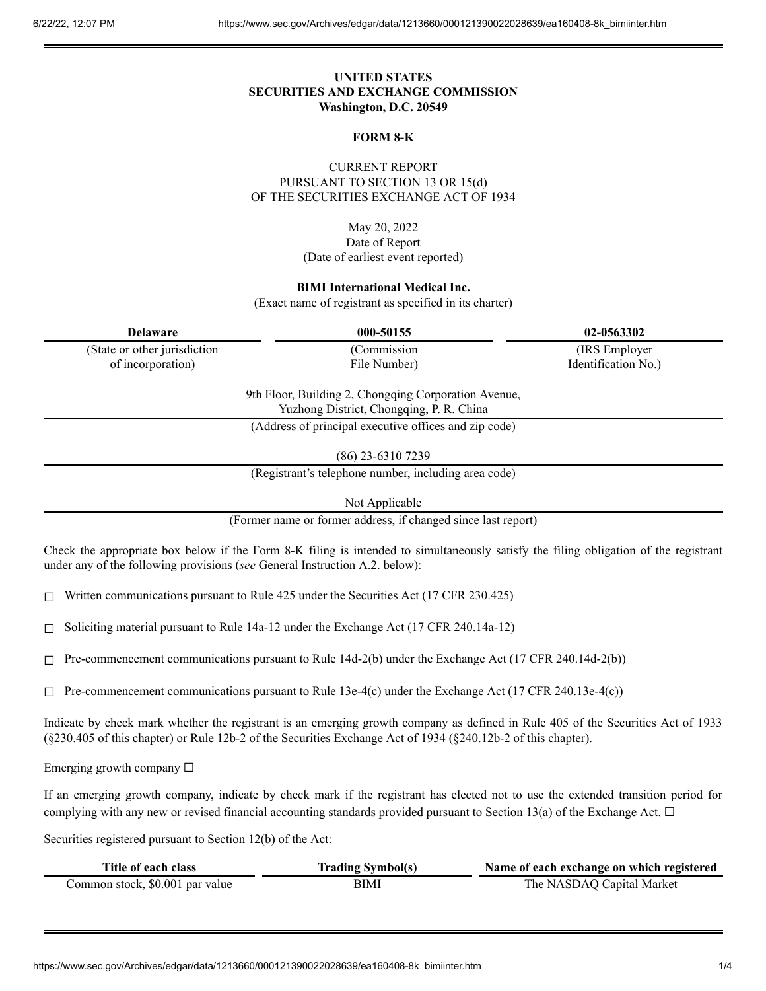# **UNITED STATES SECURITIES AND EXCHANGE COMMISSION Washington, D.C. 20549**

### **FORM 8-K**

CURRENT REPORT PURSUANT TO SECTION 13 OR 15(d) OF THE SECURITIES EXCHANGE ACT OF 1934

> May 20, 2022 Date of Report (Date of earliest event reported)

### **BIMI International Medical Inc.**

(Exact name of registrant as specified in its charter)

| <b>Delaware</b>                                                                                  | 000-50155                                             | 02-0563302          |
|--------------------------------------------------------------------------------------------------|-------------------------------------------------------|---------------------|
| (State or other jurisdiction                                                                     | (Commission                                           | (IRS Employer)      |
| of incorporation)                                                                                | File Number)                                          | Identification No.) |
| 9th Floor, Building 2, Chongqing Corporation Avenue,<br>Yuzhong District, Chongqing, P. R. China |                                                       |                     |
|                                                                                                  | (Address of principal executive offices and zip code) |                     |

(86) 23-6310 7239

(Registrant's telephone number, including area code)

Not Applicable

(Former name or former address, if changed since last report)

Check the appropriate box below if the Form 8-K filing is intended to simultaneously satisfy the filing obligation of the registrant under any of the following provisions (*see* General Instruction A.2. below):

 $\Box$  Written communications pursuant to Rule 425 under the Securities Act (17 CFR 230.425)

 $\Box$  Soliciting material pursuant to Rule 14a-12 under the Exchange Act (17 CFR 240.14a-12)

☐ Pre-commencement communications pursuant to Rule 14d-2(b) under the Exchange Act (17 CFR 240.14d-2(b))

 $\Box$  Pre-commencement communications pursuant to Rule 13e-4(c) under the Exchange Act (17 CFR 240.13e-4(c))

Indicate by check mark whether the registrant is an emerging growth company as defined in Rule 405 of the Securities Act of 1933 (§230.405 of this chapter) or Rule 12b-2 of the Securities Exchange Act of 1934 (§240.12b-2 of this chapter).

Emerging growth company  $\Box$ 

If an emerging growth company, indicate by check mark if the registrant has elected not to use the extended transition period for complying with any new or revised financial accounting standards provided pursuant to Section 13(a) of the Exchange Act.  $\Box$ 

Securities registered pursuant to Section 12(b) of the Act:

| Title of each class             | <b>Trading Symbol(s)</b> | Name of each exchange on which registered |
|---------------------------------|--------------------------|-------------------------------------------|
| Common stock, \$0.001 par value | BIMI                     | The NASDAQ Capital Market                 |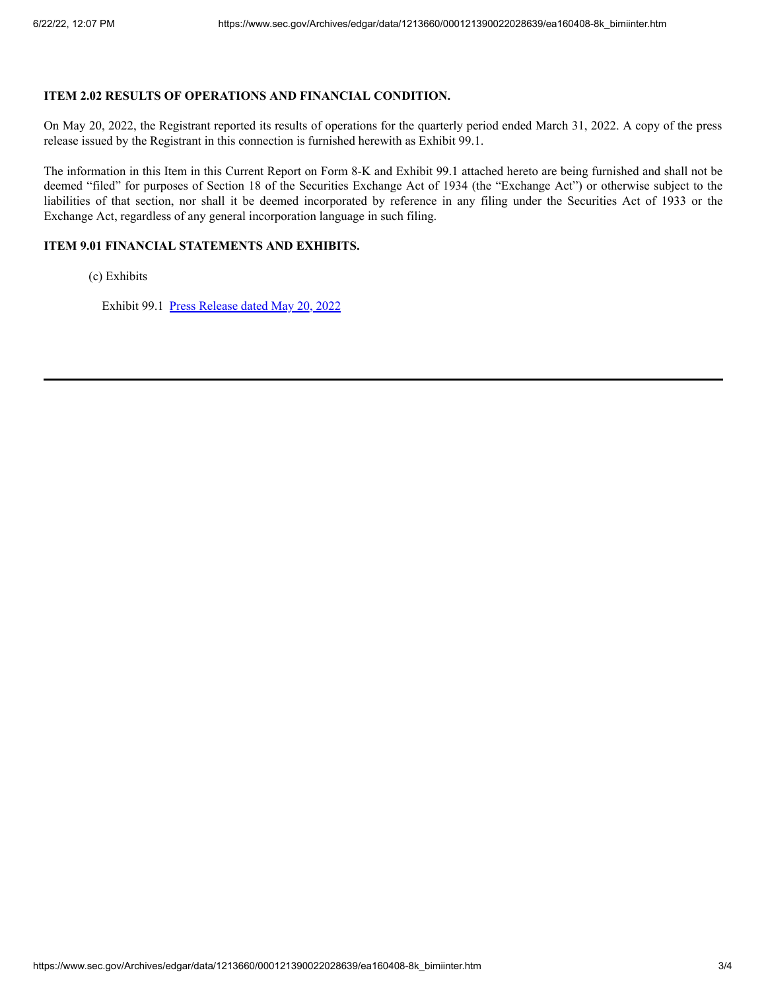# **ITEM 2.02 RESULTS OF OPERATIONS AND FINANCIAL CONDITION.**

On May 20, 2022, the Registrant reported its results of operations for the quarterly period ended March 31, 2022. A copy of the press release issued by the Registrant in this connection is furnished herewith as Exhibit 99.1.

The information in this Item in this Current Report on Form 8-K and Exhibit 99.1 attached hereto are being furnished and shall not be deemed "filed" for purposes of Section 18 of the Securities Exchange Act of 1934 (the "Exchange Act") or otherwise subject to the liabilities of that section, nor shall it be deemed incorporated by reference in any filing under the Securities Act of 1933 or the Exchange Act, regardless of any general incorporation language in such filing.

## **ITEM 9.01 FINANCIAL STATEMENTS AND EXHIBITS.**

(c) Exhibits

Exhibit 99.1 Press [Release](https://www.sec.gov/Archives/edgar/data/1213660/000121390022028639/ea160408ex99-1_bimiinter.htm) dated May 20, 2022